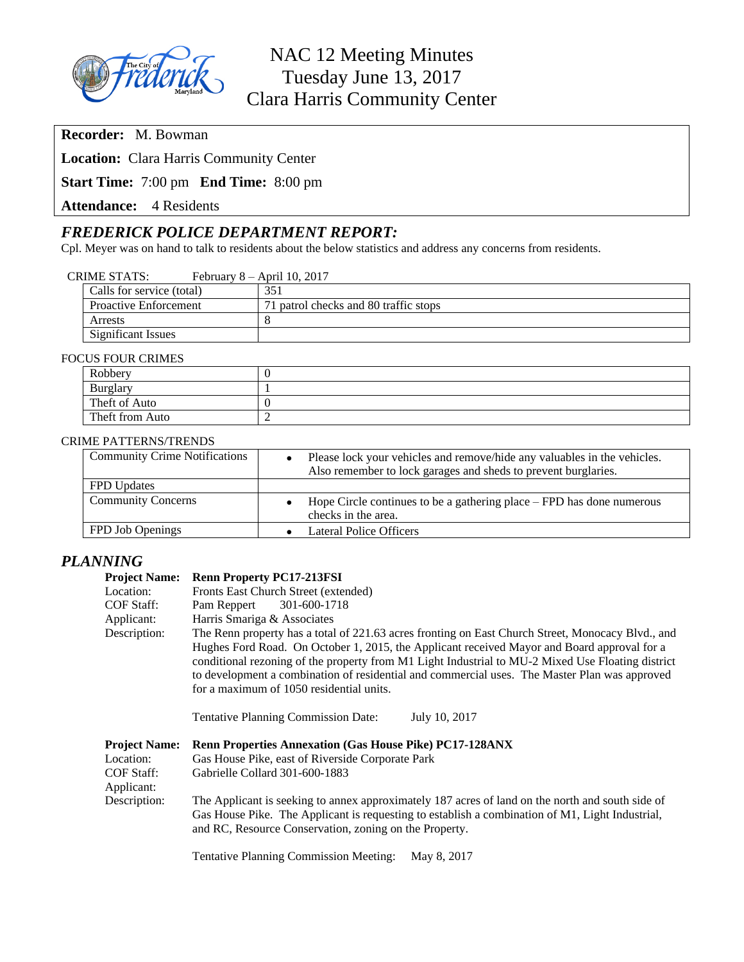

**Recorder:** M. Bowman

**Location:** Clara Harris Community Center

**Start Time:** 7:00 pm **End Time:** 8:00 pm

**Attendance:** 4 Residents

# *FREDERICK POLICE DEPARTMENT REPORT:*

Cpl. Meyer was on hand to talk to residents about the below statistics and address any concerns from residents.

|--|

| Calls for service (total)    | 351                                   |
|------------------------------|---------------------------------------|
| <b>Proactive Enforcement</b> | 71 patrol checks and 80 traffic stops |
| Arrests                      |                                       |
| Significant Issues           |                                       |

### FOCUS FOUR CRIMES

|  | Robbery         |  |
|--|-----------------|--|
|  | <b>Burglary</b> |  |
|  | Theft of Auto   |  |
|  | Theft from Auto |  |

### CRIME PATTERNS/TRENDS

| <b>Community Crime Notifications</b> | Please lock your vehicles and remove/hide any valuables in the vehicles.<br>Also remember to lock garages and sheds to prevent burglaries. |
|--------------------------------------|--------------------------------------------------------------------------------------------------------------------------------------------|
| <b>FPD</b> Updates                   |                                                                                                                                            |
| <b>Community Concerns</b>            | Hope Circle continues to be a gathering place – FPD has done numerous<br>checks in the area.                                               |
| FPD Job Openings                     | Lateral Police Officers                                                                                                                    |

## *PLANNING*

### **Project Name: Renn Property PC17-213FSI**

| Location:                                                     | Fronts East Church Street (extended)                                                                                                                                                                                                                                                                                                                                                                                                               |  |  |
|---------------------------------------------------------------|----------------------------------------------------------------------------------------------------------------------------------------------------------------------------------------------------------------------------------------------------------------------------------------------------------------------------------------------------------------------------------------------------------------------------------------------------|--|--|
| COF Staff:                                                    | Pam Reppert<br>301-600-1718                                                                                                                                                                                                                                                                                                                                                                                                                        |  |  |
| Applicant:                                                    | Harris Smariga & Associates                                                                                                                                                                                                                                                                                                                                                                                                                        |  |  |
| Description:                                                  | The Renn property has a total of 221.63 acres fronting on East Church Street, Monocacy Blvd., and<br>Hughes Ford Road. On October 1, 2015, the Applicant received Mayor and Board approval for a<br>conditional rezoning of the property from M1 Light Industrial to MU-2 Mixed Use Floating district<br>to development a combination of residential and commercial uses. The Master Plan was approved<br>for a maximum of 1050 residential units. |  |  |
|                                                               | July 10, 2017<br><b>Tentative Planning Commission Date:</b>                                                                                                                                                                                                                                                                                                                                                                                        |  |  |
| <b>Project Name:</b><br>Location:<br>COF Staff:<br>Applicant: | <b>Renn Properties Annexation (Gas House Pike) PC17-128ANX</b><br>Gas House Pike, east of Riverside Corporate Park<br>Gabrielle Collard 301-600-1883                                                                                                                                                                                                                                                                                               |  |  |
| Description:                                                  | The Applicant is seeking to annex approximately 187 acres of land on the north and south side of<br>Gas House Pike. The Applicant is requesting to establish a combination of M1, Light Industrial,<br>and RC, Resource Conservation, zoning on the Property.                                                                                                                                                                                      |  |  |
|                                                               | <b>Tentative Planning Commission Meeting:</b><br>May 8, 2017                                                                                                                                                                                                                                                                                                                                                                                       |  |  |